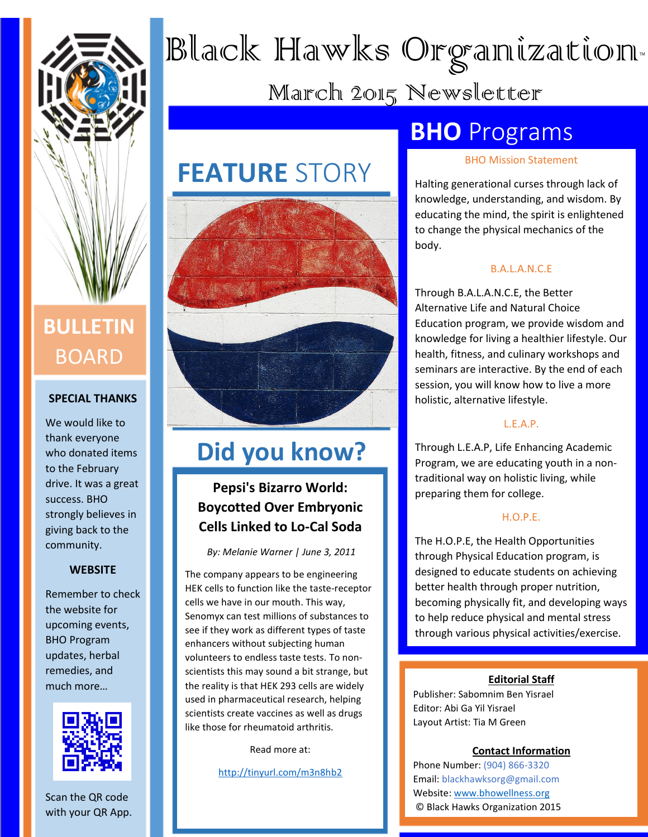

# BOARD

## **SPECIAL THANKS**

We would like to thank everyone who donated items to the February drive. It was a great success. BHO strongly believes in giving back to the community.

## **WEBSITE**

Remember to check the website for upcoming events, BHO Program updates, herbal remedies, and much more…



Scan the QR code with your QR App.

# Black Hawks Organization™

March 2015 Newsletter

# **FEATURE** STORY



## **Did you know?**

## **Pepsi's Bizarro World: Boycotted Over Embryonic Cells Linked to Lo-Cal Soda**

*By: Melanie Warner | June 3, 2011*

The company appears to be engineering HEK cells to function like the taste-receptor cells we have in our mouth. This way, Senomyx can test millions of substances to see if they work as different types of taste enhancers without subjecting human volunteers to endless taste tests. To nonscientists this may sound a bit strange, but the reality is that HEK 293 cells are widely used in pharmaceutical research, helping scientists create vaccines as well as drugs like those for rheumatoid arthritis.

Read more at:

<http://tinyurl.com/m3n8hb2>

## **BHO** Programs

## BHO Mission Statement

Halting generational curses through lack of knowledge, understanding, and wisdom. By educating the mind, the spirit is enlightened to change the physical mechanics of the body.

## B.A.L.A.N.C.E

Through B.A.L.A.N.C.E, the Better Alternative Life and Natural Choice Education program, we provide wisdom and knowledge for living a healthier lifestyle. Our health, fitness, and culinary workshops and seminars are interactive. By the end of each session, you will know how to live a more holistic, alternative lifestyle.

## L.E.A.P.

Through L.E.A.P, Life Enhancing Academic Program, we are educating youth in a nontraditional way on holistic living, while preparing them for college.

## H.O.P.E.

The H.O.P.E, the Health Opportunities through Physical Education program, is designed to educate students on achieving better health through proper nutrition, becoming physically fit, and developing ways to help reduce physical and mental stress through various physical activities/exercise.

#### **Editorial Staff**

Publisher: Sabomnim Ben Yisrael Editor: Abi Ga Yil Yisrael Layout Artist: Tia M Green

#### **Contact Information**

Phone Number: (904) 866-3320 Email: blackhawksorg@gmail.com Website: [www.bhowellness.org](http://www.bhowellness.org/) © Black Hawks Organization 2015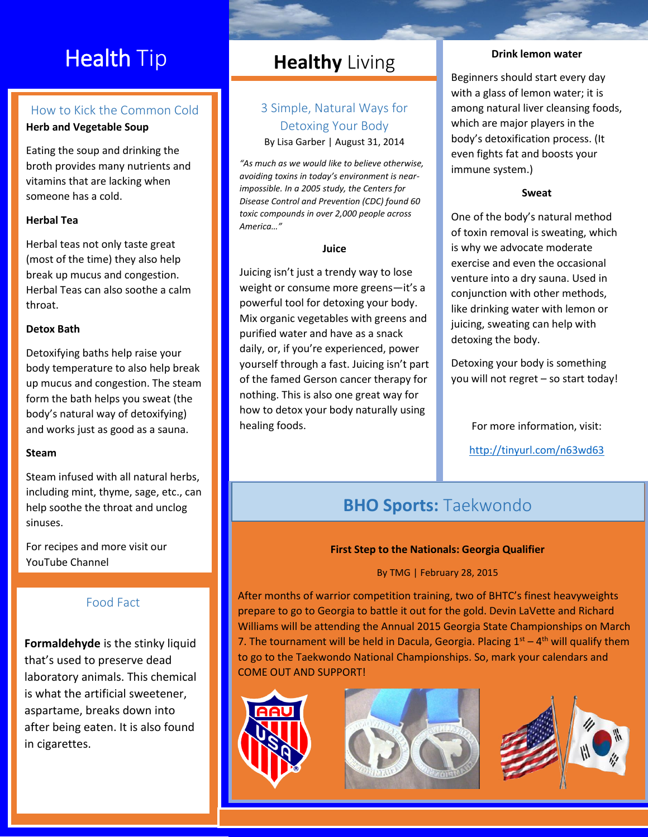# **Health Tip**

## How to Kick the Common Cold

**Herb and Vegetable Soup**

Eating the soup and drinking the broth provides many nutrients and vitamins that are lacking when someone has a cold.

## **Herbal Tea**

Herbal teas not only taste great (most of the time) they also help break up mucus and congestion. Herbal Teas can also soothe a calm throat.

## **Detox Bath**

Detoxifying baths help raise your body temperature to also help break up mucus and congestion. The steam form the bath helps you sweat (the body's natural way of detoxifying) and works just as good as a sauna.

## **Steam**

Steam infused with all natural herbs, including mint, thyme, sage, etc., can help soothe the throat and unclog sinuses.

For recipes and more visit our YouTube Channel

## Food Fact

**Formaldehyde** is the stinky liquid that's used to preserve dead laboratory animals. This chemical is what the artificial sweetener, aspartame, breaks down into after being eaten. It is also found in cigarettes.

## **Healthy** Living

## 3 Simple, Natural Ways for Detoxing Your Body By Lisa Garber | August 31, 2014

*"As much as we would like to believe otherwise, avoiding toxins in today's environment is nearimpossible. In a 2005 study, the Centers for Disease Control and Prevention (CDC) found 60 toxic compounds in over 2,000 people across America…"*

#### **Juice**

Juicing isn't just a trendy way to lose weight or consume more greens—it's a powerful tool for detoxing your body. Mix organic vegetables with greens and purified water and have as a snack daily, or, if you're experienced, power yourself through a fast. Juicing isn't part of the famed Gerson cancer therapy for nothing. This is also one great way for how to detox your body naturally using healing foods.

#### **Drink lemon water**

Beginners should start every day with a glass of lemon water; it is among natural liver cleansing foods, which are major players in the body's detoxification process. (It even fights fat and boosts your immune system.)

## **Sweat**

One of the body's natural method of toxin removal is sweating, which is why we advocate moderate exercise and even the occasional venture into a dry sauna. Used in conjunction with other methods, like drinking water with lemon or juicing, sweating can help with detoxing the body.

Detoxing your body is something you will not regret – so start today!

For more information, visit:

<http://tinyurl.com/n63wd63>

## **BHO Sports:** Taekwondo

## **First Step to the Nationals: Georgia Qualifier**

## By TMG | February 28, 2015

After months of warrior competition training, two of BHTC's finest heavyweights prepare to go to Georgia to battle it out for the gold. Devin LaVette and Richard Williams will be attending the Annual 2015 Georgia State Championships on March 7. The tournament will be held in Dacula, Georgia. Placing  $1<sup>st</sup> - 4<sup>th</sup>$  will qualify them to go to the Taekwondo National Championships. So, mark your calendars and COME OUT AND SUPPORT!





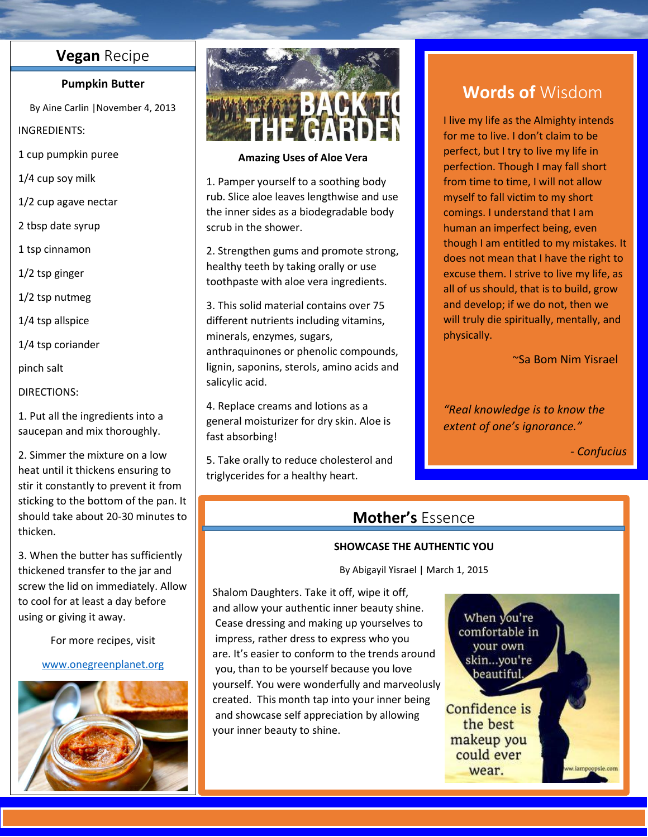## **Vegan** Recipe

### **Pumpkin Butter**

By Aine Carlin |November 4, 2013

### INGREDIENTS:

1 cup pumpkin puree

1/4 cup soy milk

- 1/2 cup agave nectar
- 2 tbsp date syrup

1 tsp cinnamon

1/2 tsp ginger

1/2 tsp nutmeg

1/4 tsp allspice

1/4 tsp coriander

pinch salt

## DIRECTIONS:

1. Put all the ingredients into a saucepan and mix thoroughly.

2. Simmer the mixture on a low heat until it thickens ensuring to stir it constantly to prevent it from sticking to the bottom of the pan. It should take about 20-30 minutes to thicken.

3. When the butter has sufficiently thickened transfer to the jar and screw the lid on immediately. Allow to cool for at least a day before using or giving it away.

For more recipes, visit

### [www.onegreenplanet.org](http://www.onegreenplanet.org/)





## **Amazing Uses of Aloe Vera**

1. Pamper yourself to a soothing body rub. Slice aloe leaves lengthwise and use the inner sides as a biodegradable body scrub in the shower.

2. Strengthen gums and promote strong, healthy teeth by taking orally or use toothpaste with aloe vera ingredients.

3. This solid material contains over 75 different nutrients including vitamins, minerals, enzymes, sugars, anthraquinones or phenolic compounds, lignin, saponins, sterols, amino acids and salicylic acid.

4. Replace creams and lotions as a general moisturizer for dry skin. Aloe is fast absorbing!

5. Take orally to reduce cholesterol and triglycerides for a healthy heart.

## **Words of** Wisdom

I live my life as the Almighty intends for me to live. I don't claim to be perfect, but I try to live my life in perfection. Though I may fall short from time to time, I will not allow myself to fall victim to my short comings. I understand that I am human an imperfect being, even though I am entitled to my mistakes. It does not mean that I have the right to excuse them. I strive to live my life, as all of us should, that is to build, grow and develop; if we do not, then we will truly die spiritually, mentally, and physically.

~Sa Bom Nim Yisrael

*"Real knowledge is to know the extent of one's ignorance."*

*- Confucius*

## **Mother's** Essence

## **SHOWCASE THE AUTHENTIC YOU**

By Abigayil Yisrael | March 1, 2015

Shalom Daughters. Take it off, wipe it off, and allow your authentic inner beauty shine. Cease dressing and making up yourselves to impress, rather dress to express who you are. It's easier to conform to the trends around you, than to be yourself because you love yourself. You were wonderfully and marveolusly created. This month tap into your inner being and showcase self appreciation by allowing your inner beauty to shine.

When you're comfortable in your own skin...you're beautiful,

Confidence is the best makeup you could ever wear.